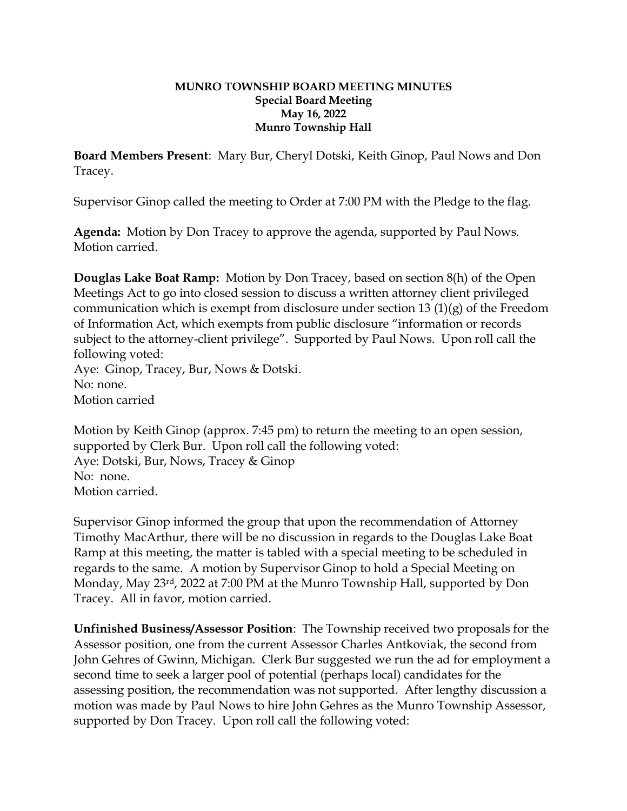## **MUNRO TOWNSHIP BOARD MEETING MINUTES Special Board Meeting May 16, 2022 Munro Township Hall**

**Board Members Present**: Mary Bur, Cheryl Dotski, Keith Ginop, Paul Nows and Don Tracey.

Supervisor Ginop called the meeting to Order at 7:00 PM with the Pledge to the flag.

**Agenda:** Motion by Don Tracey to approve the agenda, supported by Paul Nows. Motion carried.

**Douglas Lake Boat Ramp:** Motion by Don Tracey, based on section 8(h) of the Open Meetings Act to go into closed session to discuss a written attorney client privileged communication which is exempt from disclosure under section 13 (1)(g) of the Freedom of Information Act, which exempts from public disclosure "information or records subject to the attorney-client privilege". Supported by Paul Nows. Upon roll call the following voted: Aye: Ginop, Tracey, Bur, Nows & Dotski.

No: none.

Motion carried

Motion by Keith Ginop (approx. 7:45 pm) to return the meeting to an open session, supported by Clerk Bur. Upon roll call the following voted: Aye: Dotski, Bur, Nows, Tracey & Ginop No: none. Motion carried.

Supervisor Ginop informed the group that upon the recommendation of Attorney Timothy MacArthur, there will be no discussion in regards to the Douglas Lake Boat Ramp at this meeting, the matter is tabled with a special meeting to be scheduled in regards to the same. A motion by Supervisor Ginop to hold a Special Meeting on Monday, May 23rd, 2022 at 7:00 PM at the Munro Township Hall, supported by Don Tracey. All in favor, motion carried.

**Unfinished Business/Assessor Position**: The Township received two proposals for the Assessor position, one from the current Assessor Charles Antkoviak, the second from John Gehres of Gwinn, Michigan. Clerk Bur suggested we run the ad for employment a second time to seek a larger pool of potential (perhaps local) candidates for the assessing position, the recommendation was not supported. After lengthy discussion a motion was made by Paul Nows to hire John Gehres as the Munro Township Assessor, supported by Don Tracey. Upon roll call the following voted: